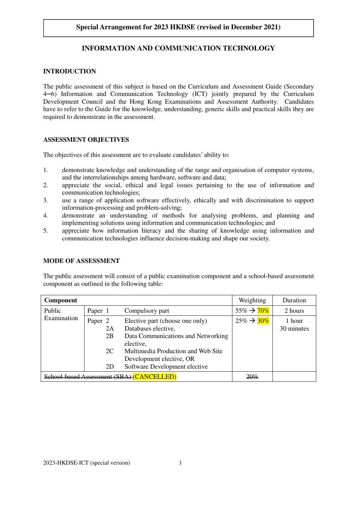# **Special Arrangement for 2023 HKDSE (revised in December 2021)**

# **INFORMATION AND COMMUNICATION TECHNOLOGY**

## **INTRODUCTION**

The public assessment of this subject is based on the Curriculum and Assessment Guide (Secondary 4─6) Information and Communication Technology (ICT) jointly prepared by the Curriculum Development Council and the Hong Kong Examinations and Assessment Authority. Candidates have to refer to the Guide for the knowledge, understanding, generic skills and practical skills they are required to demonstrate in the assessment.

## **ASSESSMENT OBJECTIVES**

The objectives of this assessment are to evaluate candidates' ability to:

- 1. demonstrate knowledge and understanding of the range and organisation of computer systems, and the interrelationships among hardware, software and data;
- 2. appreciate the social, ethical and legal issues pertaining to the use of information and communication technologies;
- 3. use a range of application software effectively, ethically and with discrimination to support information-processing and problem-solving;
- 4. demonstrate an understanding of methods for analysing problems, and planning and implementing solutions using information and communication technologies; and
- 5. appreciate how information literacy and the sharing of knowledge using information and communication technologies influence decision-making and shape our society.

## **MODE OF ASSESSMENT**

The public assessment will consist of a public examination component and a school-based assessment component as outlined in the following table:

| <b>Component</b>                   |                    |          |                                                                                                              | Weighting               | Duration             |
|------------------------------------|--------------------|----------|--------------------------------------------------------------------------------------------------------------|-------------------------|----------------------|
| Public<br>Examination              | Paper 1            |          | Compulsory part                                                                                              | $55\% \rightarrow 70\%$ | 2 hours              |
|                                    | Paper <sub>2</sub> | 2A<br>2B | Elective part (choose one only)<br>Databases elective,<br>Data Communications and Networking                 | $25\% \rightarrow 30\%$ | 1 hour<br>30 minutes |
|                                    |                    | 2C<br>2D | elective,<br>Multimedia Production and Web Site<br>Development elective, OR<br>Software Development elective |                         |                      |
| based Assessment (SBA) (CANCELLED) |                    |          |                                                                                                              | 20%                     |                      |